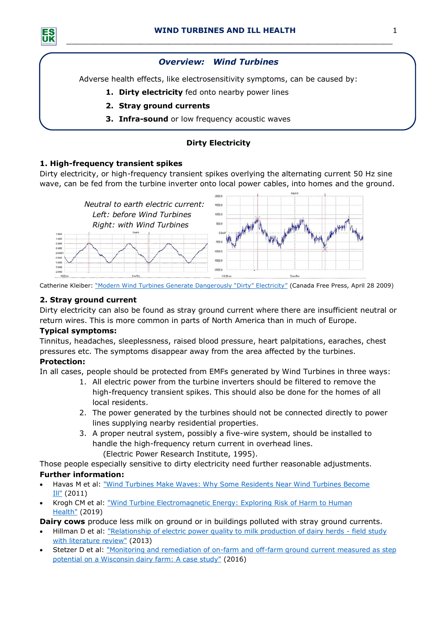*\_\_\_\_\_\_\_\_\_\_\_\_\_\_\_\_\_\_\_\_\_\_\_\_\_\_\_\_\_\_\_\_\_\_\_\_\_\_\_\_\_\_\_\_\_\_\_\_\_\_\_\_\_\_\_\_\_\_\_\_\_\_\_\_\_\_\_\_\_\_*

# *Overview: Wind Turbines*

Adverse health effects, like electrosensitivity symptoms, can be caused by:

- **1. Dirty electricity** fed onto nearby power lines
- **2. Stray ground currents**
- **3. Infra-sound** or low frequency acoustic waves

# **Dirty Electricity**

## **1. High-frequency transient spikes**

Dirty electricity, or high-frequency transient spikes overlying the alternating current 50 Hz sine wave, can be fed from the turbine inverter onto local power cables, into homes and the ground.



Catherine Kleiber: ["Modern Wind Turbines Generate Dangerously "Dirty" Electricity"](https://canadafreepress.com/article/modern-wind-turbines-generate-dangerously-dirty-electricity) (Canada Free Press, April 28 2009)

## **2. Stray ground current**

Dirty electricity can also be found as stray ground current where there are insufficient neutral or return wires. This is more common in parts of North America than in much of Europe.

## **Typical symptoms:**

Tinnitus, headaches, sleeplessness, raised blood pressure, heart palpitations, earaches, chest pressures etc. The symptoms disappear away from the area affected by the turbines.

## **Protection:**

In all cases, people should be protected from EMFs generated by Wind Turbines in three ways:

- 1. All electric power from the turbine inverters should be filtered to remove the high-frequency transient spikes. This should also be done for the homes of all local residents.
- 2. The power generated by the turbines should not be connected directly to power lines supplying nearby residential properties.
- 3. A proper neutral system, possibly a five-wire system, should be installed to handle the high-frequency return current in overhead lines. (Electric Power Research Institute, 1995).

Those people especially sensitive to dirty electricity need further reasonable adjustments. **Further information:**

- Havas M et al: ["Wind Turbines Make Waves: Why Some Residents Near Wind Turbines Become](http://docs.stetzerelectric.com/Havas-Colling-wind-article.pdf)  [Ill"](http://docs.stetzerelectric.com/Havas-Colling-wind-article.pdf) (2011)
- Krogh CM et al: ["Wind Turbine Electromagnetic Energy: Exploring](https://www.ncbi.nlm.nih.gov/pubmed/31160544) Risk of Harm to Human [Health"](https://www.ncbi.nlm.nih.gov/pubmed/31160544) (2019)

**Dairy cows** produce less milk on ground or in buildings polluted with stray ground currents.

- Hillman D et al: ["Relationship of electric power quality to milk production of dairy herds -](https://www.sciencedirect.com/science/article/pii/S0048969712016464?via%3Dihub) field study [with literature review"](https://www.sciencedirect.com/science/article/pii/S0048969712016464?via%3Dihub) (2013)
- Stetzer D et al: "Monitoring and remediation of on-farm and off-farm ground current measured as step [potential on a Wisconsin dairy farm: A case study"](https://www.ncbi.nlm.nih.gov/pubmed/27053339) (2016)